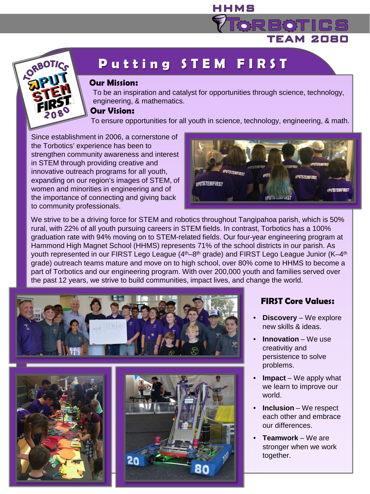

# **Putting STEM FIRS T**

#### **Our Mission**:

To be an inspiration and catalyst for opportunities through science, technology, engineering, & mathematics.

HHMS

#### **Our Vision**:

To ensure opportunities for all youth in science, technology, engineering, & math.

Since establishment in 2006, a cornerstone of the Torbotics' experience has been to strengthen community awareness and interest in STEM through providing creative and innovative outreach programs for all youth, expanding on our region's images of STEM, of women and minorities in engineering and of the importance of connecting and giving back to community professionals.



TEAM 2080

We strive to be a driving force for STEM and robotics throughout Tangipahoa parish, which is 50% rural, with 22% of all youth pursuing careers in STEM fields. In contrast, Torbotics has a 100% graduation rate with 94% moving on to STEM-related fields. Our four-year engineering program at Hammond High Magnet School (HHMS) represents 71% of the school districts in our parish. As youth represented in our FIRST Lego League  $(4<sup>th</sup>-8<sup>th</sup>$  grade) and FIRST Lego League Junior  $(K-4<sup>th</sup>$ grade) outreach teams mature and move on to high school, over 80% come to HHMS to become a part of Torbotics and our engineering program. With over 200,000 youth and families served over the past 12 years, we strive to build communities, impact lives, and change the world.







#### **FIRST Core Values**:

- **Discovery** We explore new skills & ideas.
- **Innovation** We use creativitiy and persistence to solve problems.
- **Impact** We apply what we learn to improve our world.
- **Inclusion** We respect each other and embrace our differences.
- **Teamwork** We are stronger when we work together.